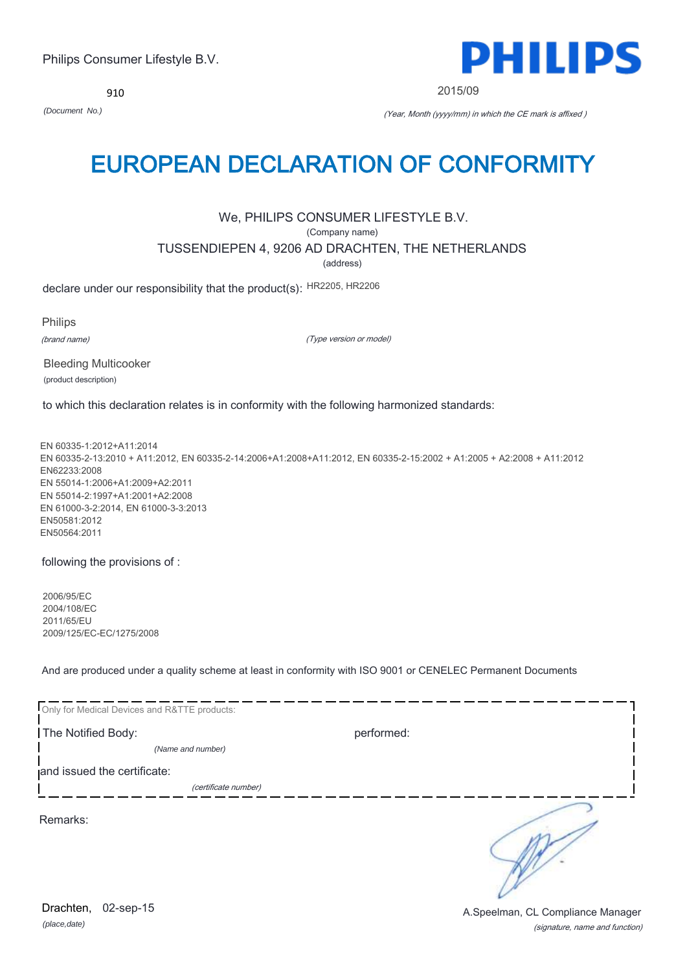910



2015/09

*(Document No.)* (Year, Month (yyyy/mm) in which the CE mark is affixed )

# EUROPEAN DECLARATION OF CONFORMITY

## We, PHILIPS CONSUMER LIFESTYLE B.V.

(Company name)

TUSSENDIEPEN 4, 9206 AD DRACHTEN, THE NETHERLANDS

(address)

declare under our responsibility that the product(s): HR2205, HR2206

Philips (brand name)

(Type version or model)

Bleeding Multicooker (product description)

to which this declaration relates is in conformity with the following harmonized standards:

EN 60335-1:2012+A11:2014 EN 60335-2-13:2010 + A11:2012, EN 60335-2-14:2006+A1:2008+A11:2012, EN 60335-2-15:2002 + A1:2005 + A2:2008 + A11:2012 EN62233:2008 EN 55014-1:2006+A1:2009+A2:2011 EN 55014-2:1997+A1:2001+A2:2008 EN 61000-3-2:2014, EN 61000-3-3:2013 EN50581:2012 EN50564:2011

following the provisions of :

2006/95/EC 2004/108/EC 2011/65/EU 2009/125/EC-EC/1275/2008

And are produced under a quality scheme at least in conformity with ISO 9001 or CENELEC Permanent Documents

| Only for Medical Devices and R&TTE products: |            |
|----------------------------------------------|------------|
| The Notified Body:                           | performed: |
| (Name and number)                            |            |
| and issued the certificate:                  |            |
| (certificate number)                         |            |
| Remarks:                                     |            |

*(place,date)* Drachten, 02-sep-15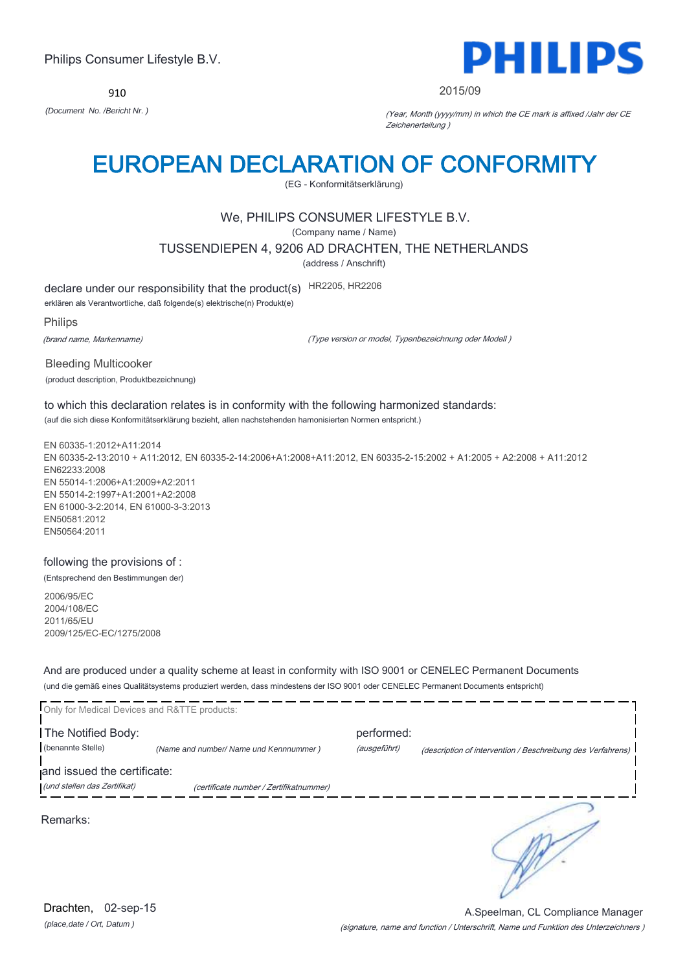910



### 2015/09

*(Document No. /Bericht Nr. )* (Year, Month (yyyy/mm) in which the CE mark is affixed /Jahr der CE Zeichenerteilung )

# EUROPEAN DECLARATION OF CONFORMITY

(EG - Konformitätserklärung)

## We, PHILIPS CONSUMER LIFESTYLE B.V.

(Company name / Name)

TUSSENDIEPEN 4, 9206 AD DRACHTEN, THE NETHERLANDS

(address / Anschrift)

declare under our responsibility that the product(s) HR2205, HR2206

erklären als Verantwortliche, daß folgende(s) elektrische(n) Produkt(e)

Philips

(brand name, Markenname)

(Type version or model, Typenbezeichnung oder Modell )

Bleeding Multicooker (product description, Produktbezeichnung)

to which this declaration relates is in conformity with the following harmonized standards: (auf die sich diese Konformitätserklärung bezieht, allen nachstehenden hamonisierten Normen entspricht.)

EN 60335-1:2012+A11:2014 EN 60335-2-13:2010 + A11:2012, EN 60335-2-14:2006+A1:2008+A11:2012, EN 60335-2-15:2002 + A1:2005 + A2:2008 + A11:2012 EN62233:2008 EN 55014-1:2006+A1:2009+A2:2011 EN 55014-2:1997+A1:2001+A2:2008 EN 61000-3-2:2014, EN 61000-3-3:2013 EN50581:2012 EN50564:2011

following the provisions of : (Entsprechend den Bestimmungen der)

2006/95/EC 2004/108/EC 2011/65/EU 2009/125/EC-EC/1275/2008

And are produced under a quality scheme at least in conformity with ISO 9001 or CENELEC Permanent Documents (und die gemäß eines Qualitätsystems produziert werden, dass mindestens der ISO 9001 oder CENELEC Permanent Documents entspricht)

| Only for Medical Devices and R&TTE products: |                                         |                            |                                                             |
|----------------------------------------------|-----------------------------------------|----------------------------|-------------------------------------------------------------|
| The Notified Body:<br>(benannte Stelle)      | (Name and number/ Name und Kennnummer)  | performed:<br>(ausgeführt) | (description of intervention / Beschreibung des Verfahrens) |
| and issued the certificate:                  |                                         |                            |                                                             |
| (und stellen das Zertifikat)                 | (certificate number / Zertifikatnummer) |                            |                                                             |
| Remarks:                                     |                                         |                            |                                                             |

*(place,date / Ort, Datum )* Drachten, 02-sep-15

(signature, name and function / Unterschrift, Name und Funktion des Unterzeichners ) A.Speelman, CL Compliance Manager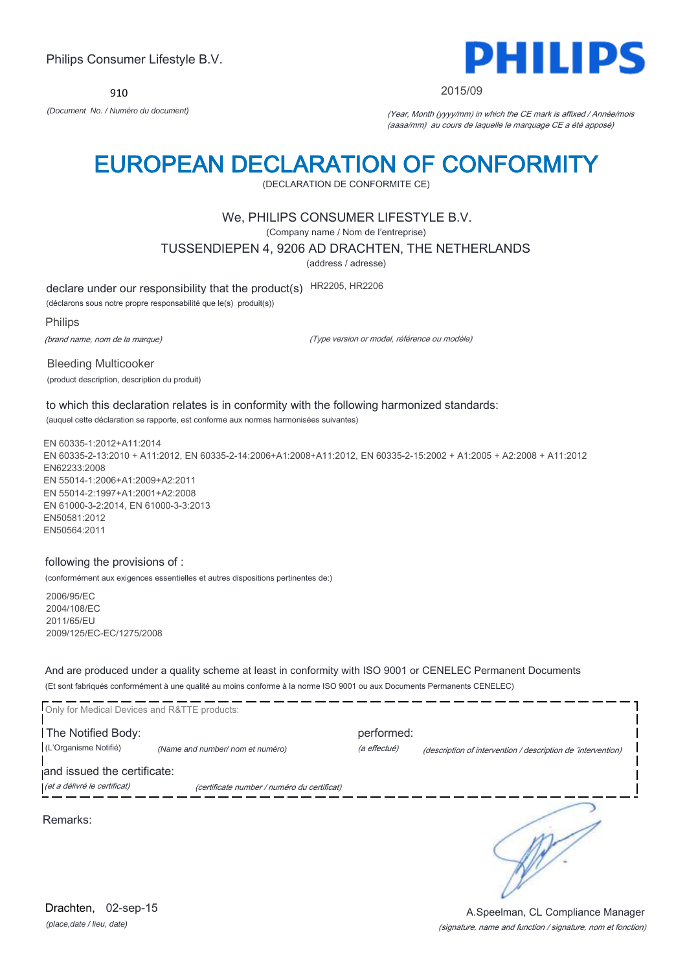910



2015/09

*(Document No. / Numéro du document)* (Year, Month (yyyy/mm) in which the CE mark is affixed / Année/mois (aaaa/mm) au cours de laquelle le marquage CE a été apposé)

# EUROPEAN DECLARATION OF CONFORMITY

(DECLARATION DE CONFORMITE CE)

## We, PHILIPS CONSUMER LIFESTYLE B.V.

(Company name / Nom de l'entreprise)

TUSSENDIEPEN 4, 9206 AD DRACHTEN, THE NETHERLANDS

(address / adresse)

declare under our responsibility that the product(s) HR2205, HR2206

(déclarons sous notre propre responsabilité que le(s) produit(s))

Philips

(brand name, nom de la marque)

(Type version or model, référence ou modèle)

Bleeding Multicooker (product description, description du produit)

to which this declaration relates is in conformity with the following harmonized standards: (auquel cette déclaration se rapporte, est conforme aux normes harmonisées suivantes)

EN 60335-1:2012+A11:2014 EN 60335-2-13:2010 + A11:2012, EN 60335-2-14:2006+A1:2008+A11:2012, EN 60335-2-15:2002 + A1:2005 + A2:2008 + A11:2012 EN62233:2008 EN 55014-1:2006+A1:2009+A2:2011 EN 55014-2:1997+A1:2001+A2:2008 EN 61000-3-2:2014, EN 61000-3-3:2013 EN50581:2012 EN50564:2011

### following the provisions of :

(conformément aux exigences essentielles et autres dispositions pertinentes de:)

2006/95/EC 2004/108/EC 2011/65/EU 2009/125/EC-EC/1275/2008

And are produced under a quality scheme at least in conformity with ISO 9001 or CENELEC Permanent Documents (Et sont fabriqués conformément à une qualité au moins conforme à la norme ISO 9001 ou aux Documents Permanents CENELEC)

| Only for Medical Devices and R&TTE products:                |                                             |              |                                                              |
|-------------------------------------------------------------|---------------------------------------------|--------------|--------------------------------------------------------------|
| The Notified Body:                                          |                                             | performed:   |                                                              |
| (L'Organisme Notifié)                                       | (Name and number/ nom et numéro)            | (a effectué) | (description of intervention / description de 'intervention) |
| and issued the certificate:<br>(et a délivré le certificat) | (certificate number / numéro du certificat) |              |                                                              |
| Remarks:                                                    |                                             |              |                                                              |

*(place,date / lieu, date)* Drachten, 02-sep-15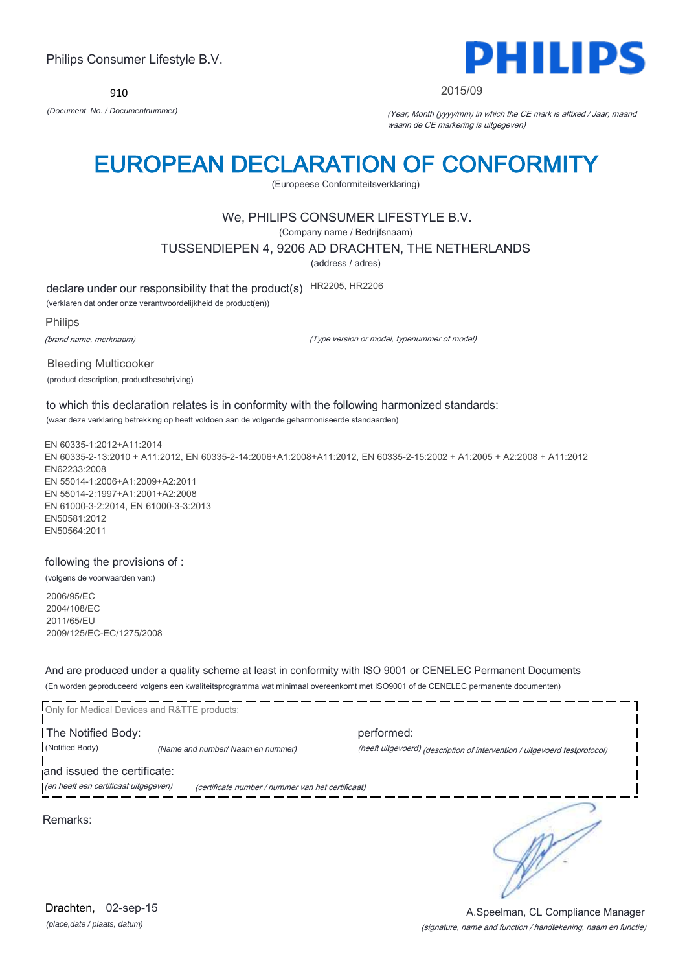910



### 2015/09

*(Document No. / Documentnummer)* (Year, Month (yyyy/mm) in which the CE mark is affixed / Jaar, maand waarin de CE markering is uitgegeven)

# EUROPEAN DECLARATION OF CONFORMITY

(Europeese Conformiteitsverklaring)

### We, PHILIPS CONSUMER LIFESTYLE B.V.

(Company name / Bedrijfsnaam)

TUSSENDIEPEN 4, 9206 AD DRACHTEN, THE NETHERLANDS

(address / adres)

declare under our responsibility that the product(s) HR2205, HR2206

(verklaren dat onder onze verantwoordelijkheid de product(en))

Philips

(brand name, merknaam)

(Type version or model, typenummer of model)

Bleeding Multicooker (product description, productbeschrijving)

to which this declaration relates is in conformity with the following harmonized standards: (waar deze verklaring betrekking op heeft voldoen aan de volgende geharmoniseerde standaarden)

EN 60335-1:2012+A11:2014 EN 60335-2-13:2010 + A11:2012, EN 60335-2-14:2006+A1:2008+A11:2012, EN 60335-2-15:2002 + A1:2005 + A2:2008 + A11:2012 EN62233:2008 EN 55014-1:2006+A1:2009+A2:2011 EN 55014-2:1997+A1:2001+A2:2008 EN 61000-3-2:2014, EN 61000-3-3:2013 EN50581:2012 EN50564:2011

following the provisions of :

(volgens de voorwaarden van:)

2006/95/EC 2004/108/EC 2011/65/EU 2009/125/EC-EC/1275/2008

And are produced under a quality scheme at least in conformity with ISO 9001 or CENELEC Permanent Documents (En worden geproduceerd volgens een kwaliteitsprogramma wat minimaal overeenkomt met ISO9001 of de CENELEC permanente documenten)

|                                       | Only for Medical Devices and R&TTE products:      |                                                                            |
|---------------------------------------|---------------------------------------------------|----------------------------------------------------------------------------|
| The Notified Body:                    |                                                   | performed:                                                                 |
| (Notified Body)                       | (Name and number/ Naam en nummer)                 | (heeft uitgevoerd) (description of intervention / uitgevoerd testprotocol) |
| and issued the certificate:           |                                                   |                                                                            |
| (en heeft een certificaat uitgegeven) | (certificate number / nummer van het certificaat) |                                                                            |
|                                       |                                                   |                                                                            |

Remarks:

*(place,date / plaats, datum)* Drachten, 02-sep-15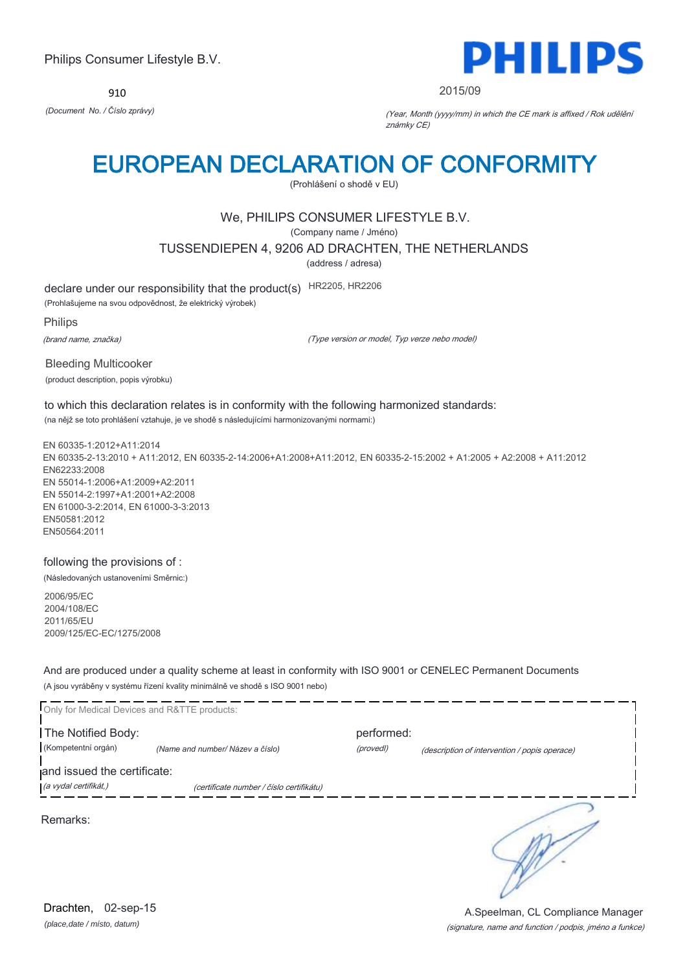910



2015/09

*(Document No. / Číslo zprávy)* (Year, Month (yyyy/mm) in which the CE mark is affixed / Rok udělění známky CE)

# EUROPEAN DECLARATION OF CONFORMITY

(Prohlášení o shodě v EU)

## We, PHILIPS CONSUMER LIFESTYLE B.V.

(Company name / Jméno)

TUSSENDIEPEN 4, 9206 AD DRACHTEN, THE NETHERLANDS

(address / adresa)

declare under our responsibility that the product(s) HR2205, HR2206

(Prohlašujeme na svou odpovědnost, že elektrický výrobek)

Philips

(brand name, značka)

(Type version or model, Typ verze nebo model)

Bleeding Multicooker (product description, popis výrobku)

to which this declaration relates is in conformity with the following harmonized standards: (na nějž se toto prohlášení vztahuje, je ve shodě s následujícími harmonizovanými normami:)

EN 60335-1:2012+A11:2014 EN 60335-2-13:2010 + A11:2012, EN 60335-2-14:2006+A1:2008+A11:2012, EN 60335-2-15:2002 + A1:2005 + A2:2008 + A11:2012 EN62233:2008 EN 55014-1:2006+A1:2009+A2:2011 EN 55014-2:1997+A1:2001+A2:2008 EN 61000-3-2:2014, EN 61000-3-3:2013 EN50581:2012 EN50564:2011

## following the provisions of :

(Následovaných ustanoveními Směrnic:)

2006/95/EC 2004/108/EC 2011/65/EU 2009/125/EC-EC/1275/2008

And are produced under a quality scheme at least in conformity with ISO 9001 or CENELEC Permanent Documents (A jsou vyráběny v systému řízení kvality minimálně ve shodě s ISO 9001 nebo)

| Only for Medical Devices and R&TTE products: |                                          |            |                                               |
|----------------------------------------------|------------------------------------------|------------|-----------------------------------------------|
| The Notified Body:                           |                                          | performed: |                                               |
| (Kompetentní orgán)                          | (Name and number/ Název a číslo)         | (provedl)  | (description of intervention / popis operace) |
| and issued the certificate:                  |                                          |            |                                               |
| (a vydal certifikát,)                        | (certificate number / číslo certifikátu) |            |                                               |
| Remarks:                                     |                                          |            |                                               |

*(place,date / místo, datum)* Drachten, 02-sep-15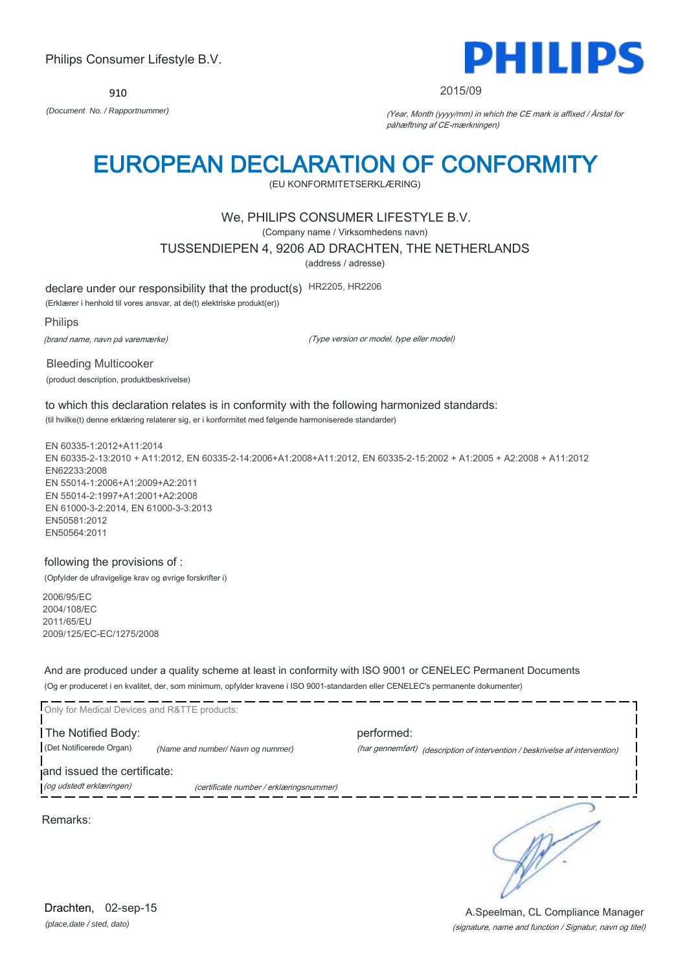910



2015/09

*(Document No. / Rapportnummer)* (Year, Month (yyyy/mm) in which the CE mark is affixed / Årstal for påhæftning af CE-mærkningen)

# EUROPEAN DECLARATION OF CONFORMITY

(EU KONFORMITETSERKLÆRING)

## We, PHILIPS CONSUMER LIFESTYLE B.V.

(Company name / Virksomhedens navn)

TUSSENDIEPEN 4, 9206 AD DRACHTEN, THE NETHERLANDS

(address / adresse)

declare under our responsibility that the product(s) HR2205, HR2206

(Erklærer i henhold til vores ansvar, at de(t) elektriske produkt(er))

Philips

(brand name, navn på varemærke)

(Type version or model, type eller model)

Bleeding Multicooker (product description, produktbeskrivelse)

to which this declaration relates is in conformity with the following harmonized standards: (til hvilke(t) denne erklæring relaterer sig, er i konformitet med følgende harmoniserede standarder)

EN 60335-1:2012+A11:2014 EN 60335-2-13:2010 + A11:2012, EN 60335-2-14:2006+A1:2008+A11:2012, EN 60335-2-15:2002 + A1:2005 + A2:2008 + A11:2012 EN62233:2008 EN 55014-1:2006+A1:2009+A2:2011 EN 55014-2:1997+A1:2001+A2:2008 EN 61000-3-2:2014, EN 61000-3-3:2013 EN50581:2012 EN50564:2011

### following the provisions of :

(Opfylder de ufravigelige krav og øvrige forskrifter i)

2006/95/EC 2004/108/EC 2011/65/EU 2009/125/EC-EC/1275/2008

And are produced under a quality scheme at least in conformity with ISO 9001 or CENELEC Permanent Documents (Og er produceret i en kvalitet, der, som minimum, opfylder kravene i ISO 9001-standarden eller CENELEC's permanente dokumenter)

| Only for Medical Devices and R&TTE products:            |                                         |                                                                                            |
|---------------------------------------------------------|-----------------------------------------|--------------------------------------------------------------------------------------------|
| The Notified Body:<br>(Det Notificerede Organ)          | (Name and number/ Navn og nummer)       | performed:<br>(har gennemført) (description of intervention / beskrivelse af intervention) |
| and issued the certificate:<br>(og udstedt erklæringen) | (certificate number / erklæringsnummer) |                                                                                            |
| Remarks:                                                |                                         |                                                                                            |

*(place,date / sted, dato)* Drachten, 02-sep-15

### (signature, name and function / Signatur, navn og titel) A.Speelman, CL Compliance Manager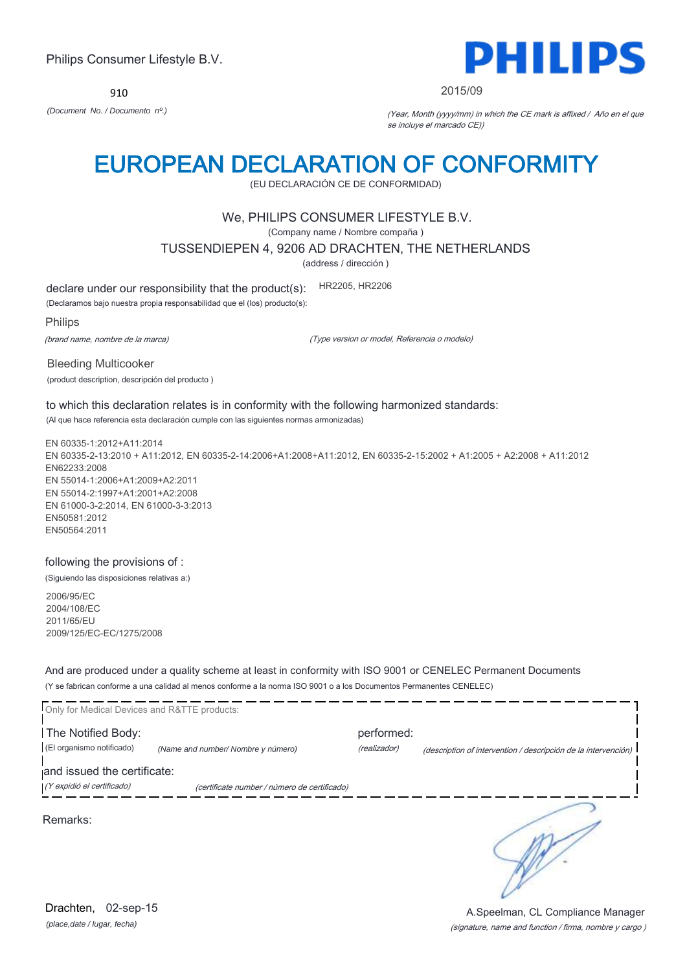910



### 2015/09

*(Document No. / Documento nº.)* (Year, Month (yyyy/mm) in which the CE mark is affixed / Año en el que se incluye el marcado CE))

# EUROPEAN DECLARATION OF CONFORMITY

(EU DECLARACIÓN CE DE CONFORMIDAD)

## We, PHILIPS CONSUMER LIFESTYLE B.V.

(Company name / Nombre compaña )

TUSSENDIEPEN 4, 9206 AD DRACHTEN, THE NETHERLANDS

(address / dirección )

declare under our responsibility that the product(s): HR2205, HR2206

(Declaramos bajo nuestra propia responsabilidad que el (los) producto(s):

Philips

(brand name, nombre de la marca)

(Type version or model, Referencia o modelo)

Bleeding Multicooker (product description, descripción del producto )

to which this declaration relates is in conformity with the following harmonized standards: (Al que hace referencia esta declaración cumple con las siguientes normas armonizadas)

EN 60335-1:2012+A11:2014 EN 60335-2-13:2010 + A11:2012, EN 60335-2-14:2006+A1:2008+A11:2012, EN 60335-2-15:2002 + A1:2005 + A2:2008 + A11:2012 EN62233:2008 EN 55014-1:2006+A1:2009+A2:2011 EN 55014-2:1997+A1:2001+A2:2008 EN 61000-3-2:2014, EN 61000-3-3:2013 EN50581:2012 EN50564:2011

### following the provisions of :

(Siguiendo las disposiciones relativas a:)

2006/95/EC 2004/108/EC 2011/65/EU 2009/125/EC-EC/1275/2008

And are produced under a quality scheme at least in conformity with ISO 9001 or CENELEC Permanent Documents (Y se fabrican conforme a una calidad al menos conforme a la norma ISO 9001 o a los Documentos Permanentes CENELEC)

| Only for Medical Devices and R&TTE products: |                                              |              |                                                                |
|----------------------------------------------|----------------------------------------------|--------------|----------------------------------------------------------------|
| The Notified Body:                           |                                              | performed:   |                                                                |
| (El organismo notificado)                    | (Name and number/ Nombre y número)           | (realizador) | (description of intervention / descripción de la intervención) |
| and issued the certificate:                  |                                              |              |                                                                |
| (Y expidió el certificado)                   | (certificate number / número de certificado) |              |                                                                |
| Remarks:                                     |                                              |              |                                                                |

*(place,date / lugar, fecha)* Drachten, 02-sep-15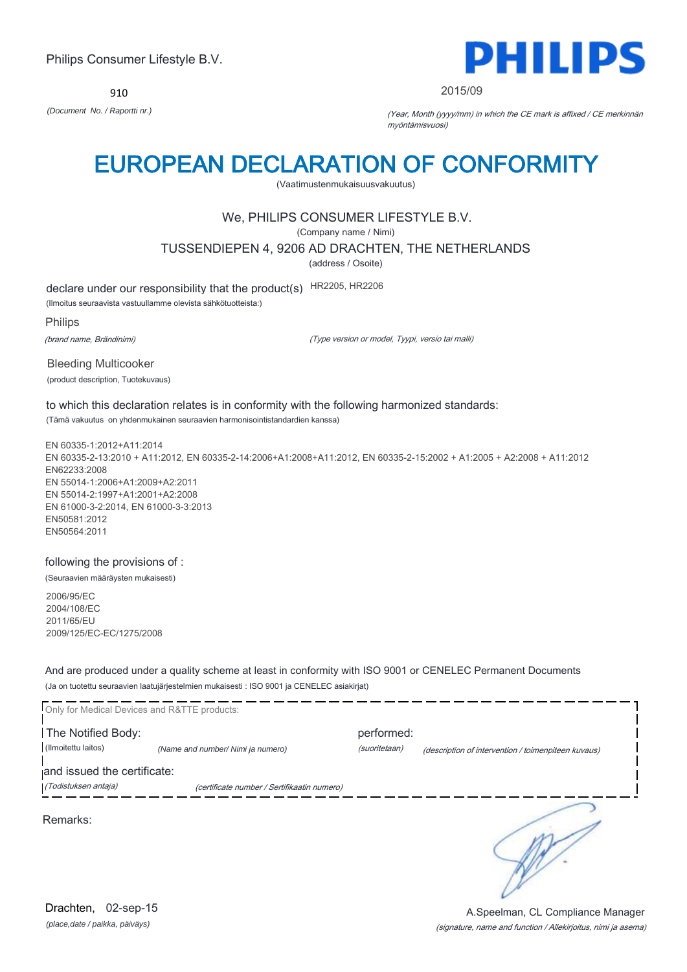910



### 2015/09

*(Document No. / Raportti nr.)* (Year, Month (yyyy/mm) in which the CE mark is affixed / CE merkinnän myöntämisvuosi)

# EUROPEAN DECLARATION OF CONFORMITY

(Vaatimustenmukaisuusvakuutus)

## We, PHILIPS CONSUMER LIFESTYLE B.V.

(Company name / Nimi)

TUSSENDIEPEN 4, 9206 AD DRACHTEN, THE NETHERLANDS

(address / Osoite)

declare under our responsibility that the product(s) HR2205, HR2206

(Ilmoitus seuraavista vastuullamme olevista sähkötuotteista:)

Philips

(brand name, Brändinimi)

(Type version or model, Tyypi, versio tai malli)

Bleeding Multicooker (product description, Tuotekuvaus)

to which this declaration relates is in conformity with the following harmonized standards: (Tämä vakuutus on yhdenmukainen seuraavien harmonisointistandardien kanssa)

EN 60335-1:2012+A11:2014 EN 60335-2-13:2010 + A11:2012, EN 60335-2-14:2006+A1:2008+A11:2012, EN 60335-2-15:2002 + A1:2005 + A2:2008 + A11:2012 EN62233:2008 EN 55014-1:2006+A1:2009+A2:2011 EN 55014-2:1997+A1:2001+A2:2008 EN 61000-3-2:2014, EN 61000-3-3:2013 EN50581:2012 EN50564:2011

following the provisions of :

(Seuraavien määräysten mukaisesti)

2006/95/EC 2004/108/EC 2011/65/EU 2009/125/EC-EC/1275/2008

And are produced under a quality scheme at least in conformity with ISO 9001 or CENELEC Permanent Documents (Ja on tuotettu seuraavien laatujärjestelmien mukaisesti : ISO 9001 ja CENELEC asiakirjat)

|                             | Only for Medical Devices and R&TTE products: |               |                                                     |
|-----------------------------|----------------------------------------------|---------------|-----------------------------------------------------|
| The Notified Body:          |                                              | performed:    |                                                     |
| (Ilmoitettu laitos)         | (Name and number/ Nimi ja numero)            | (suoritetaan) | (description of intervention / toimenpiteen kuvaus) |
| and issued the certificate: |                                              |               |                                                     |
| (Todistuksen antaja)        | (certificate number / Sertifikaatin numero)  |               |                                                     |
| Remarks:                    |                                              |               |                                                     |

*(place,date / paikka, päiväys)* Drachten, 02-sep-15

### (signature, name and function / Allekirjoitus, nimi ja asema) A.Speelman, CL Compliance Manager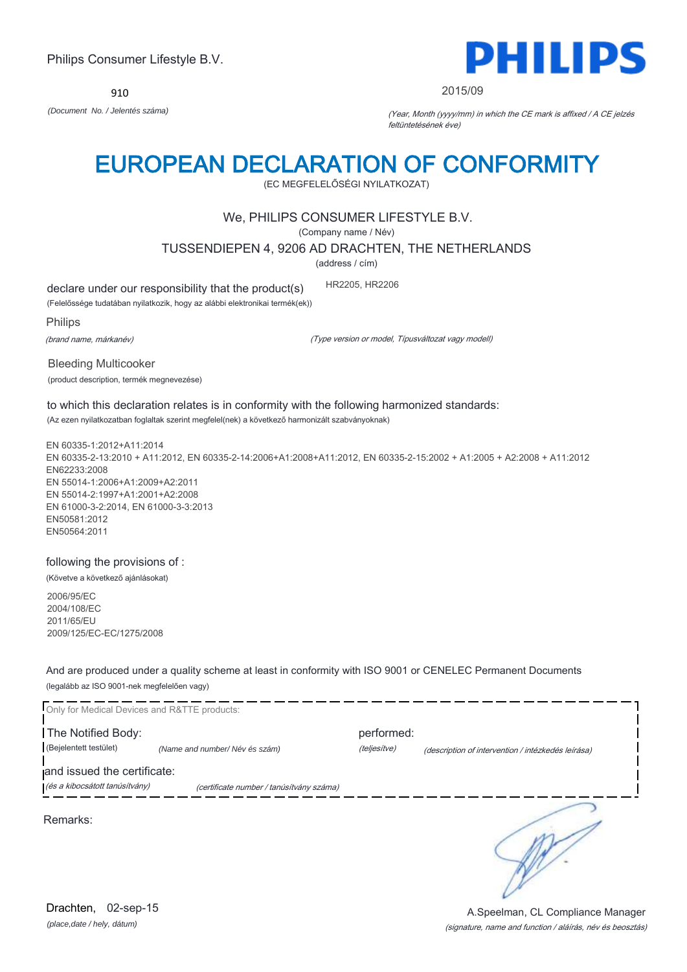910



2015/09

*(Document No. / Jelentés száma)* (Year, Month (yyyy/mm) in which the CE mark is affixed / A CE jelzés feltüntetésének éve)

# EUROPEAN DECLARATION OF CONFORMITY

(EC MEGFELELŐSÉGI NYILATKOZAT)

## We, PHILIPS CONSUMER LIFESTYLE B.V.

(Company name / Név)

TUSSENDIEPEN 4, 9206 AD DRACHTEN, THE NETHERLANDS

(address / cím)

declare under our responsibility that the product(s) HR2205, HR2206

(Felelőssége tudatában nyilatkozik, hogy az alábbi elektronikai termék(ek))

Philips

(brand name, márkanév)

(Type version or model, Típusváltozat vagy modell)

Bleeding Multicooker (product description, termék megnevezése)

to which this declaration relates is in conformity with the following harmonized standards: (Az ezen nyilatkozatban foglaltak szerint megfelel(nek) a következő harmonizált szabványoknak)

EN 60335-1:2012+A11:2014 EN 60335-2-13:2010 + A11:2012, EN 60335-2-14:2006+A1:2008+A11:2012, EN 60335-2-15:2002 + A1:2005 + A2:2008 + A11:2012 EN62233:2008 EN 55014-1:2006+A1:2009+A2:2011 EN 55014-2:1997+A1:2001+A2:2008 EN 61000-3-2:2014, EN 61000-3-3:2013 EN50581:2012 EN50564:2011

following the provisions of : (Követve a következő ajánlásokat)

2006/95/EC 2004/108/EC 2011/65/EU 2009/125/EC-EC/1275/2008

And are produced under a quality scheme at least in conformity with ISO 9001 or CENELEC Permanent Documents (legalább az ISO 9001-nek megfelelően vagy)

Only for Medical Devices and R&TTE products: **The Notified Body: performed:** performed: (Bejelentett testület) *(Name and number/ Név és szám)* (teljesítve) (description of intervention / intézkedés leírása) and issued the certificate: (és a kibocsátott tanúsítvány) (certificate number / tanúsítvány száma) S Remarks:

*(place,date / hely, dátum)* Drachten, 02-sep-15

(signature, name and function / aláírás, név és beosztás) A.Speelman, CL Compliance Manager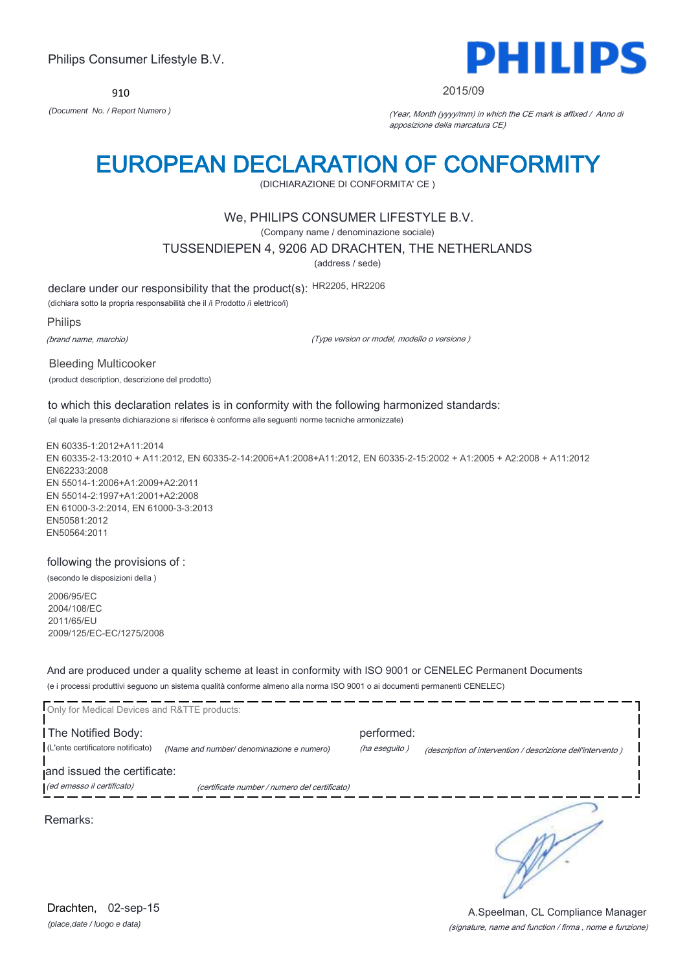910



### 2015/09

*(Document No. / Report Numero )* (Year, Month (yyyy/mm) in which the CE mark is affixed / Anno di apposizione della marcatura CE)

# EUROPEAN DECLARATION OF CONFORMITY

(DICHIARAZIONE DI CONFORMITA' CE )

### We, PHILIPS CONSUMER LIFESTYLE B.V.

(Company name / denominazione sociale)

TUSSENDIEPEN 4, 9206 AD DRACHTEN, THE NETHERLANDS

(address / sede)

declare under our responsibility that the product(s): HR2205, HR2206

(dichiara sotto la propria responsabilità che il /i Prodotto /i elettrico/i)

Philips

(brand name, marchio)

(Type version or model, modello o versione )

Bleeding Multicooker (product description, descrizione del prodotto)

to which this declaration relates is in conformity with the following harmonized standards: (al quale la presente dichiarazione si riferisce è conforme alle seguenti norme tecniche armonizzate)

EN 60335-1:2012+A11:2014 EN 60335-2-13:2010 + A11:2012, EN 60335-2-14:2006+A1:2008+A11:2012, EN 60335-2-15:2002 + A1:2005 + A2:2008 + A11:2012 EN62233:2008 EN 55014-1:2006+A1:2009+A2:2011 EN 55014-2:1997+A1:2001+A2:2008 EN 61000-3-2:2014, EN 61000-3-3:2013 EN50581:2012 EN50564:2011

following the provisions of :

(secondo le disposizioni della )

2006/95/EC 2004/108/EC 2011/65/EU 2009/125/EC-EC/1275/2008

And are produced under a quality scheme at least in conformity with ISO 9001 or CENELEC Permanent Documents (e i processi produttivi seguono un sistema qualità conforme almeno alla norma ISO 9001 o ai documenti permanenti CENELEC)

| Only for Medical Devices and R&TTE products: |                                               |               |                                                             |  |
|----------------------------------------------|-----------------------------------------------|---------------|-------------------------------------------------------------|--|
|                                              |                                               |               |                                                             |  |
| The Notified Body:                           |                                               | performed:    |                                                             |  |
| (L'ente certificatore notificato)            | (Name and number/ denominazione e numero)     | (ha eseguito) | (description of intervention / descrizione dell'intervento) |  |
|                                              |                                               |               |                                                             |  |
| and issued the certificate:                  |                                               |               |                                                             |  |
| (ed emesso il certificato)                   | (certificate number / numero del certificato) |               |                                                             |  |
|                                              |                                               |               |                                                             |  |
| Remarks:                                     |                                               |               |                                                             |  |
|                                              |                                               |               |                                                             |  |

*(place,date / luogo e data)* Drachten, 02-sep-15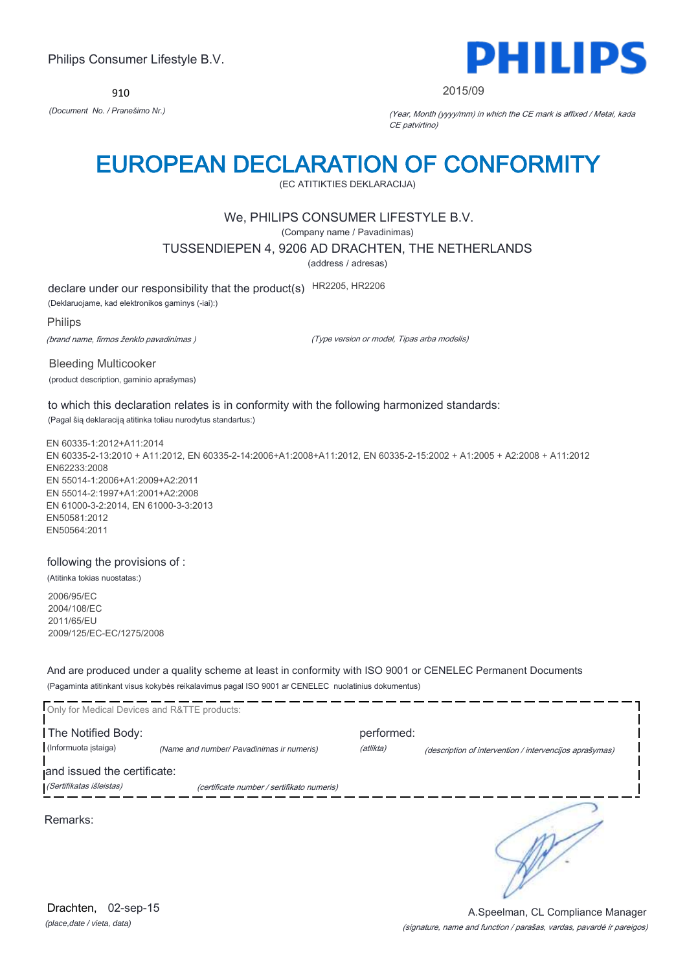910



2015/09

*(Document No. / Pranešimo Nr.)* (Year, Month (yyyy/mm) in which the CE mark is affixed / Metai, kada CE patvirtino)

# EUROPEAN DECLARATION OF CONFORMITY

(EC ATITIKTIES DEKLARACIJA)

## We, PHILIPS CONSUMER LIFESTYLE B.V.

(Company name / Pavadinimas)

TUSSENDIEPEN 4, 9206 AD DRACHTEN, THE NETHERLANDS

(address / adresas)

declare under our responsibility that the product(s) HR2205, HR2206

(Deklaruojame, kad elektronikos gaminys (-iai):)

Philips

(brand name, firmos ženklo pavadinimas )

(Type version or model, Tipas arba modelis)

Bleeding Multicooker (product description, gaminio aprašymas)

to which this declaration relates is in conformity with the following harmonized standards: (Pagal šią deklaraciją atitinka toliau nurodytus standartus:)

EN 60335-1:2012+A11:2014 EN 60335-2-13:2010 + A11:2012, EN 60335-2-14:2006+A1:2008+A11:2012, EN 60335-2-15:2002 + A1:2005 + A2:2008 + A11:2012 EN62233:2008 EN 55014-1:2006+A1:2009+A2:2011 EN 55014-2:1997+A1:2001+A2:2008 EN 61000-3-2:2014, EN 61000-3-3:2013 EN50581:2012 EN50564:2011

### following the provisions of :

(Atitinka tokias nuostatas:)

2006/95/EC 2004/108/EC 2011/65/EU 2009/125/EC-EC/1275/2008

And are produced under a quality scheme at least in conformity with ISO 9001 or CENELEC Permanent Documents (Pagaminta atitinkant visus kokybės reikalavimus pagal ISO 9001 ar CENELEC nuolatinius dokumentus)

| Only for Medical Devices and R&TTE products: |                                            |            |                                                         |
|----------------------------------------------|--------------------------------------------|------------|---------------------------------------------------------|
| The Notified Body:                           |                                            | performed: |                                                         |
| (Informuota įstaiga)                         | (Name and number/ Pavadinimas ir numeris)  | (atlikta)  | (description of intervention / intervencijos aprašymas) |
| and issued the certificate:                  |                                            |            |                                                         |
| (Sertifikatas išleistas)                     | (certificate number / sertifikato numeris) |            |                                                         |
| Remarks:                                     |                                            |            |                                                         |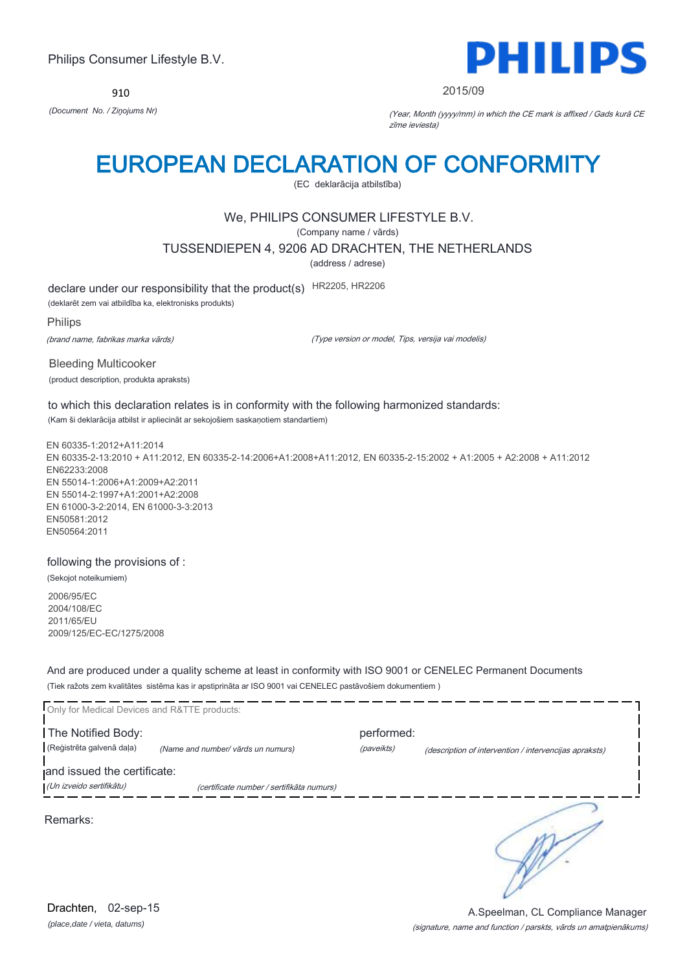910



2015/09

*(Document No. / Ziņojums Nr)* (Year, Month (yyyy/mm) in which the CE mark is affixed / Gads kurā CE zīme ieviesta)

# EUROPEAN DECLARATION OF CONFORMITY

(EC deklarācija atbilstība)

## We, PHILIPS CONSUMER LIFESTYLE B.V.

(Company name / vārds)

TUSSENDIEPEN 4, 9206 AD DRACHTEN, THE NETHERLANDS

(address / adrese)

declare under our responsibility that the product(s) HR2205, HR2206

(deklarēt zem vai atbildība ka, elektronisks produkts)

Philips

(brand name, fabrikas marka vārds)

(Type version or model, Tips, versija vai modelis)

Bleeding Multicooker (product description, produkta apraksts)

to which this declaration relates is in conformity with the following harmonized standards: (Kam ši deklarācija atbilst ir apliecināt ar sekojošiem saskaņotiem standartiem)

EN 60335-1:2012+A11:2014 EN 60335-2-13:2010 + A11:2012, EN 60335-2-14:2006+A1:2008+A11:2012, EN 60335-2-15:2002 + A1:2005 + A2:2008 + A11:2012 EN62233:2008 EN 55014-1:2006+A1:2009+A2:2011 EN 55014-2:1997+A1:2001+A2:2008 EN 61000-3-2:2014, EN 61000-3-3:2013 EN50581:2012 EN50564:2011

following the provisions of :

(Sekojot noteikumiem)

2006/95/EC 2004/108/EC 2011/65/EU 2009/125/EC-EC/1275/2008

And are produced under a quality scheme at least in conformity with ISO 9001 or CENELEC Permanent Documents (Tiek ražots zem kvalitātes sistēma kas ir apstiprināta ar ISO 9001 vai CENELEC pastāvošiem dokumentiem )

| Only for Medical Devices and R&TTE products: |                                           |            |                                                        |
|----------------------------------------------|-------------------------------------------|------------|--------------------------------------------------------|
| The Notified Body:                           |                                           | performed: |                                                        |
| (Reģistrēta galvenā daļa)                    | (Name and number/ vārds un numurs)        | (paveikts) | (description of intervention / intervencijas apraksts) |
| and issued the certificate:                  |                                           |            |                                                        |
| (Un izveido sertifikātu)                     | (certificate number / sertifikāta numurs) |            |                                                        |
| Remarks:                                     |                                           |            |                                                        |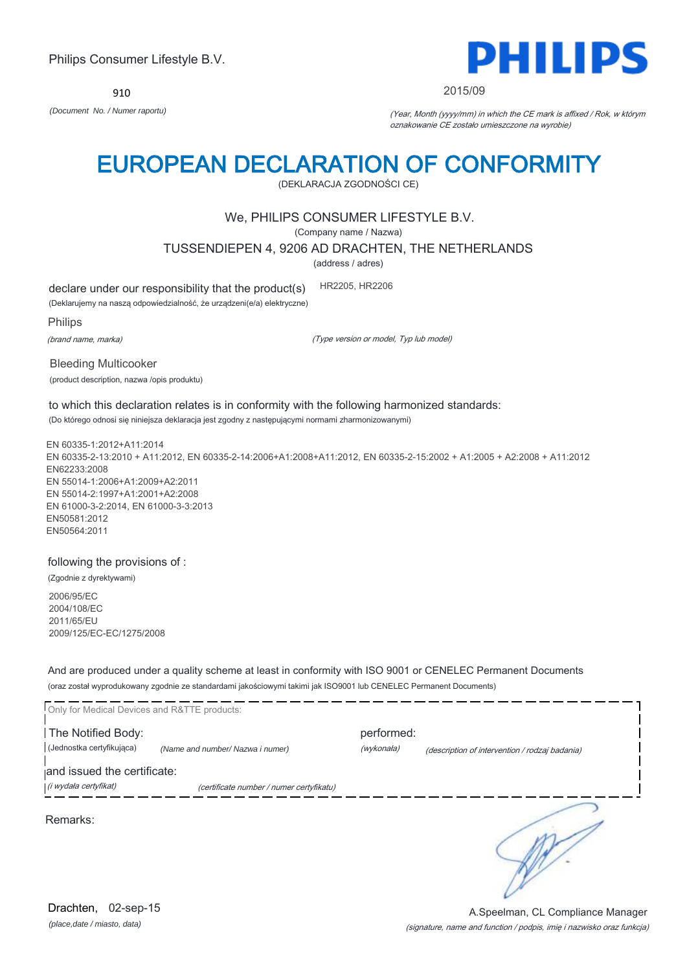*(place,date / miasto, data)* Drachten, 02-sep-15

# Philips Consumer Lifestyle B.V.

910 *(Document No. / Numer raportu)* (Year, Month (yyyy/mm) in which the CE mark is affixed / Rok, w którym

# EUROPEAN DECLARATION OF CONFORMITY

(DEKLARACJA ZGODNOŚCI CE)

## We, PHILIPS CONSUMER LIFESTYLE B.V.

(Company name / Nazwa)

TUSSENDIEPEN 4, 9206 AD DRACHTEN, THE NETHERLANDS

(address / adres)

declare under our responsibility that the product(s) HR2205, HR2206

(Deklarujemy na naszą odpowiedzialność, że urządzeni(e/a) elektryczne)

Philips

(brand name, marka)

(Type version or model, Typ lub model)

Bleeding Multicooker (product description, nazwa /opis produktu)

to which this declaration relates is in conformity with the following harmonized standards: (Do którego odnosi się niniejsza deklaracja jest zgodny z następującymi normami zharmonizowanymi)

EN 60335-1:2012+A11:2014 EN 60335-2-13:2010 + A11:2012, EN 60335-2-14:2006+A1:2008+A11:2012, EN 60335-2-15:2002 + A1:2005 + A2:2008 + A11:2012 EN62233:2008 EN 55014-1:2006+A1:2009+A2:2011 EN 55014-2:1997+A1:2001+A2:2008 EN 61000-3-2:2014, EN 61000-3-3:2013 EN50581:2012 EN50564:2011

following the provisions of :

(Zgodnie z dyrektywami)

2006/95/EC 2004/108/EC 2011/65/EU 2009/125/EC-EC/1275/2008

And are produced under a quality scheme at least in conformity with ISO 9001 or CENELEC Permanent Documents (oraz został wyprodukowany zgodnie ze standardami jakościowymi takimi jak ISO9001 lub CENELEC Permanent Documents)

| Only for Medical Devices and R&TTE products:         |                                          |                          |                                                |
|------------------------------------------------------|------------------------------------------|--------------------------|------------------------------------------------|
| The Notified Body:<br>(Jednostka certyfikująca)      | (Name and number/ Nazwa i numer)         | performed:<br>(wykonała) | (description of intervention / rodzaj badania) |
| and issued the certificate:<br>(i wydała certyfikat) | (certificate number / numer certyfikatu) |                          |                                                |
| Remarks:                                             |                                          |                          |                                                |





A.Speelman, CL Compliance Manager

(signature, name and function / podpis, imię i nazwisko oraz funkcja)



2015/09

oznakowanie CE zostało umieszczone na wyrobie)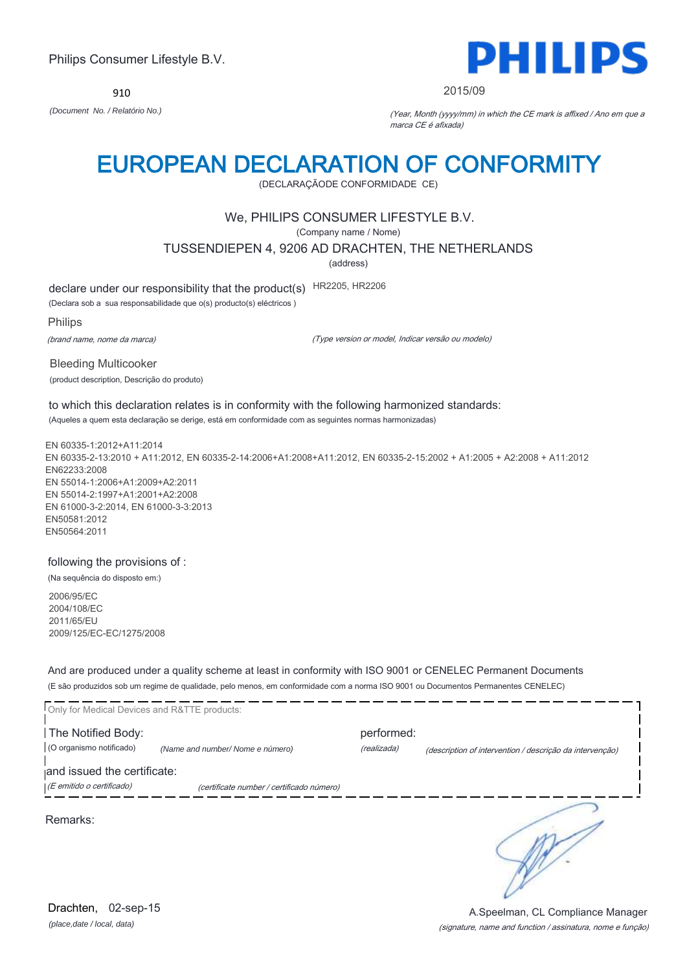910



### 2015/09

*(Document No. / Relatório No.)* (Year, Month (yyyy/mm) in which the CE mark is affixed / Ano em que a marca CE é afixada)

# EUROPEAN DECLARATION OF CONFORMITY

(DECLARAÇÃODE CONFORMIDADE CE)

## We, PHILIPS CONSUMER LIFESTYLE B.V.

(Company name / Nome)

TUSSENDIEPEN 4, 9206 AD DRACHTEN, THE NETHERLANDS

(address)

declare under our responsibility that the product(s) HR2205, HR2206

(Declara sob a sua responsabilidade que o(s) producto(s) eléctricos )

Philips

(brand name, nome da marca)

(Type version or model, Indicar versão ou modelo)

Bleeding Multicooker (product description, Descrição do produto)

to which this declaration relates is in conformity with the following harmonized standards: (Aqueles a quem esta declaração se derige, está em conformidade com as seguintes normas harmonizadas)

EN 60335-1:2012+A11:2014 EN 60335-2-13:2010 + A11:2012, EN 60335-2-14:2006+A1:2008+A11:2012, EN 60335-2-15:2002 + A1:2005 + A2:2008 + A11:2012 EN62233:2008 EN 55014-1:2006+A1:2009+A2:2011 EN 55014-2:1997+A1:2001+A2:2008 EN 61000-3-2:2014, EN 61000-3-3:2013 EN50581:2012 EN50564:2011

following the provisions of :

(Na sequência do disposto em:)

2006/95/EC 2004/108/EC 2011/65/EU 2009/125/EC-EC/1275/2008

And are produced under a quality scheme at least in conformity with ISO 9001 or CENELEC Permanent Documents (E são produzidos sob um regime de qualidade, pelo menos, em conformidade com a norma ISO 9001 ou Documentos Permanentes CENELEC)

| Only for Medical Devices and R&TTE products: |                                           |             |                                                          |
|----------------------------------------------|-------------------------------------------|-------------|----------------------------------------------------------|
| The Notified Body:                           |                                           | performed:  |                                                          |
| (O organismo notificado)                     | (Name and number/Nome e número)           | (realizada) | (description of intervention / descrição da intervenção) |
| and issued the certificate:                  |                                           |             |                                                          |
| (E emitido o certificado)                    | (certificate number / certificado número) |             |                                                          |
| Remarks:                                     |                                           |             |                                                          |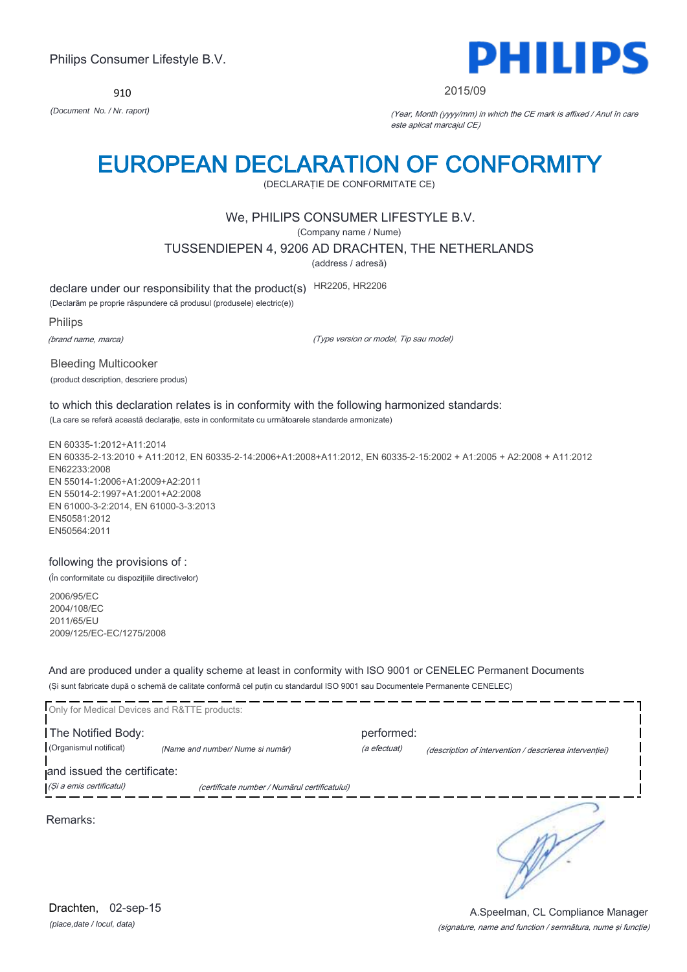910



### 2015/09

*(Document No. / Nr. raport)* (Year, Month (yyyy/mm) in which the CE mark is affixed / Anul în care este aplicat marcajul CE)

# EUROPEAN DECLARATION OF CONFORMITY

(DECLARAŢIE DE CONFORMITATE CE)

## We, PHILIPS CONSUMER LIFESTYLE B.V.

(Company name / Nume)

TUSSENDIEPEN 4, 9206 AD DRACHTEN, THE NETHERLANDS

(address / adresă)

declare under our responsibility that the product(s) HR2205, HR2206

(Declarăm pe proprie răspundere că produsul (produsele) electric(e))

Philips

(brand name, marca)

(Type version or model, Tip sau model)

Bleeding Multicooker (product description, descriere produs)

to which this declaration relates is in conformity with the following harmonized standards: (La care se referă această declaraţie, este in conformitate cu următoarele standarde armonizate)

EN 60335-1:2012+A11:2014 EN 60335-2-13:2010 + A11:2012, EN 60335-2-14:2006+A1:2008+A11:2012, EN 60335-2-15:2002 + A1:2005 + A2:2008 + A11:2012 EN62233:2008 EN 55014-1:2006+A1:2009+A2:2011 EN 55014-2:1997+A1:2001+A2:2008 EN 61000-3-2:2014, EN 61000-3-3:2013 EN50581:2012 EN50564:2011

following the provisions of :

(În conformitate cu dispoziţiile directivelor)

2006/95/EC 2004/108/EC 2011/65/EU 2009/125/EC-EC/1275/2008

And are produced under a quality scheme at least in conformity with ISO 9001 or CENELEC Permanent Documents (Şi sunt fabricate după o schemă de calitate conformă cel puţin cu standardul ISO 9001 sau Documentele Permanente CENELEC)

| Only for Medical Devices and R&TTE products: |                                               |              |                                                         |
|----------------------------------------------|-----------------------------------------------|--------------|---------------------------------------------------------|
| The Notified Body:                           |                                               | performed:   |                                                         |
| (Organismul notificat)                       | (Name and number/ Nume si număr)              | (a efectuat) | (description of intervention / descrierea interventiei) |
| and issued the certificate:                  |                                               |              |                                                         |
| (Și a emis certificatul)                     | (certificate number / Numărul certificatului) |              |                                                         |
| Remarks:                                     |                                               |              |                                                         |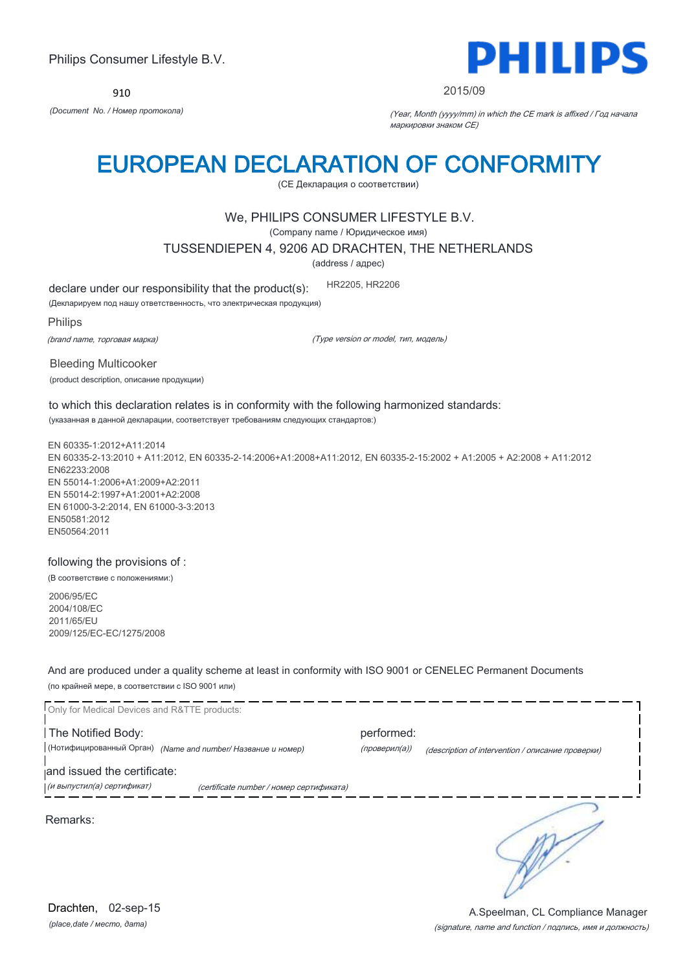910



### 2015/09

*(Document No. / Номер протокола)* (Year, Month (yyyy/mm) in which the CE mark is affixed / Год начала маркировки знаком CE)

# EUROPEAN DECLARATION OF CONFORMITY

(CE Декларация о соответствии)

### We, PHILIPS CONSUMER LIFESTYLE B.V.

(Company name / Юридическое имя)

TUSSENDIEPEN 4, 9206 AD DRACHTEN, THE NETHERLANDS

(address / адрес)

declare under our responsibility that the product(s): HR2205, HR2206

(Декларируем под нашу ответственность, что электрическая продукция)

Philips

(brand name, торговая марка)

(Type version or model, тип, модель)

Bleeding Multicooker (product description, описание продукции)

to which this declaration relates is in conformity with the following harmonized standards: (указанная в данной декларации, соответствует требованиям следующих стандартов:)

EN 60335-1:2012+A11:2014 EN 60335-2-13:2010 + A11:2012, EN 60335-2-14:2006+A1:2008+A11:2012, EN 60335-2-15:2002 + A1:2005 + A2:2008 + A11:2012 EN62233:2008 EN 55014-1:2006+A1:2009+A2:2011 EN 55014-2:1997+A1:2001+A2:2008 EN 61000-3-2:2014, EN 61000-3-3:2013 EN50581:2012 EN50564:2011

following the provisions of :

(В соответствие с положениями:)

2006/95/EC 2004/108/EC 2011/65/EU 2009/125/EC-EC/1275/2008

And are produced under a quality scheme at least in conformity with ISO 9001 or CENELEC Permanent Documents (по крайней мере, в соответствии с ISO 9001 или)

Only for Medical Devices and R&TTE products: The Notified Body: example and the Notified Body: (Нотифицированный Орган) *(Name and number/ Название и номер)* (проверил(а)) (description of intervention / описание проверки) and issued the certificate: (и выпустил(а) сертификат) (certificate number / номер сертификата) ₹ Remarks: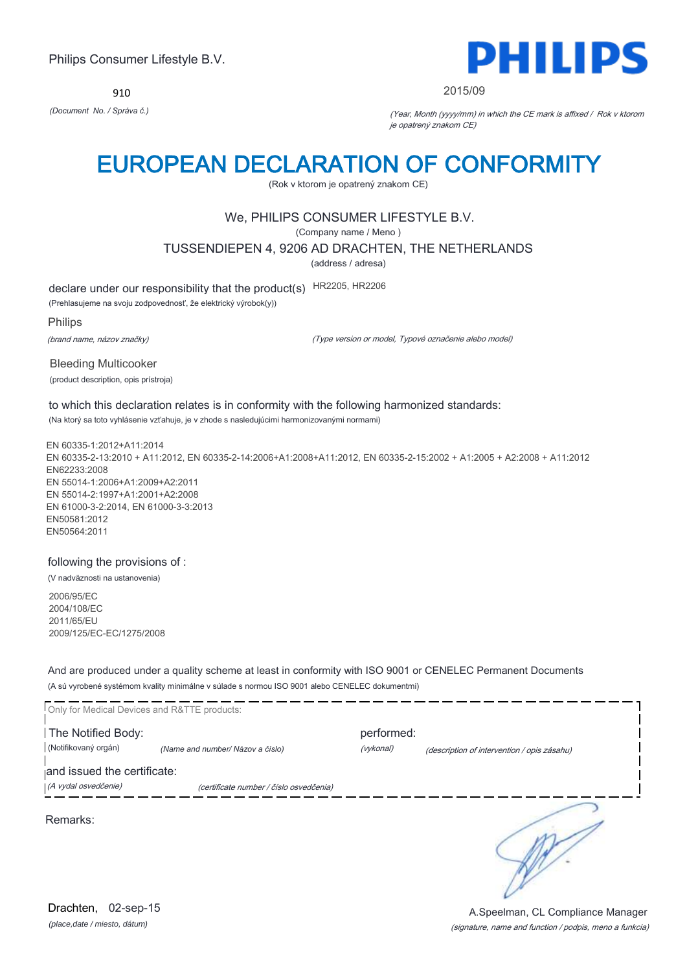910



### 2015/09

*(Document No. / Správa č.)* (Year, Month (yyyy/mm) in which the CE mark is affixed / Rok v ktorom je opatrený znakom CE)

# EUROPEAN DECLARATION OF CONFORMITY

(Rok v ktorom je opatrený znakom CE)

## We, PHILIPS CONSUMER LIFESTYLE B.V.

(Company name / Meno )

TUSSENDIEPEN 4, 9206 AD DRACHTEN, THE NETHERLANDS

(address / adresa)

declare under our responsibility that the product(s) HR2205, HR2206

(Prehlasujeme na svoju zodpovednosť, že elektrický výrobok(y))

Philips

(brand name, názov značky)

(Type version or model, Typové označenie alebo model)

Bleeding Multicooker (product description, opis prístroja)

to which this declaration relates is in conformity with the following harmonized standards: (Na ktorý sa toto vyhlásenie vzťahuje, je v zhode s nasledujúcimi harmonizovanými normami)

EN 60335-1:2012+A11:2014 EN 60335-2-13:2010 + A11:2012, EN 60335-2-14:2006+A1:2008+A11:2012, EN 60335-2-15:2002 + A1:2005 + A2:2008 + A11:2012 EN62233:2008 EN 55014-1:2006+A1:2009+A2:2011 EN 55014-2:1997+A1:2001+A2:2008 EN 61000-3-2:2014, EN 61000-3-3:2013 EN50581:2012 EN50564:2011

following the provisions of :

(V nadväznosti na ustanovenia)

2006/95/EC 2004/108/EC 2011/65/EU 2009/125/EC-EC/1275/2008

And are produced under a quality scheme at least in conformity with ISO 9001 or CENELEC Permanent Documents (A sú vyrobené systémom kvality minimálne v súlade s normou ISO 9001 alebo CENELEC dokumentmi)

| Only for Medical Devices and R&TTE products: |                                         |            |                                             |
|----------------------------------------------|-----------------------------------------|------------|---------------------------------------------|
| The Notified Body:                           |                                         | performed: |                                             |
| (Notifikovaný orgán)                         | (Name and number/ Názov a číslo)        | (vykonal)  | (description of intervention / opis zásahu) |
| and issued the certificate:                  |                                         |            |                                             |
| (A vydal osvedčenie)                         | (certificate number / číslo osvedčenia) |            |                                             |
| Remarks:                                     |                                         |            |                                             |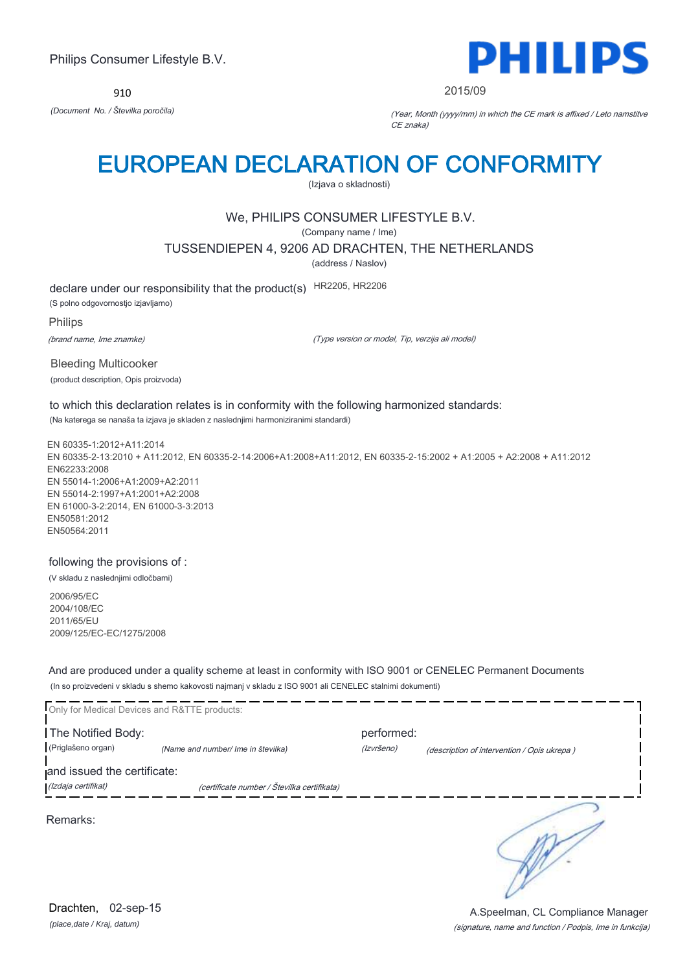910



2015/09

*(Document No. / Številka poročila)* (Year, Month (yyyy/mm) in which the CE mark is affixed / Leto namstitve CE znaka)

# EUROPEAN DECLARATION OF CONFORMITY

(Izjava o skladnosti)

## We, PHILIPS CONSUMER LIFESTYLE B.V.

(Company name / Ime)

TUSSENDIEPEN 4, 9206 AD DRACHTEN, THE NETHERLANDS

(address / Naslov)

declare under our responsibility that the product(s) HR2205, HR2206 (S polno odgovornostjo izjavljamo)

Philips

(brand name, Ime znamke)

(Type version or model, Tip, verzija ali model)

Bleeding Multicooker (product description, Opis proizvoda)

to which this declaration relates is in conformity with the following harmonized standards: (Na katerega se nanaša ta izjava je skladen z naslednjimi harmoniziranimi standardi)

EN 60335-1:2012+A11:2014 EN 60335-2-13:2010 + A11:2012, EN 60335-2-14:2006+A1:2008+A11:2012, EN 60335-2-15:2002 + A1:2005 + A2:2008 + A11:2012 EN62233:2008 EN 55014-1:2006+A1:2009+A2:2011 EN 55014-2:1997+A1:2001+A2:2008 EN 61000-3-2:2014, EN 61000-3-3:2013 EN50581:2012 EN50564:2011

following the provisions of :

(V skladu z naslednjimi odločbami)

2006/95/EC 2004/108/EC 2011/65/EU 2009/125/EC-EC/1275/2008

And are produced under a quality scheme at least in conformity with ISO 9001 or CENELEC Permanent Documents (In so proizvedeni v skladu s shemo kakovosti najmanj v skladu z ISO 9001 ali CENELEC stalnimi dokumenti)

|                             | Only for Medical Devices and R&TTE products: |            |                                             |
|-----------------------------|----------------------------------------------|------------|---------------------------------------------|
| The Notified Body:          |                                              | performed: |                                             |
| (Priglašeno organ)          | (Name and number/ Ime in številka)           | (Izvršeno) | (description of intervention / Opis ukrepa) |
| and issued the certificate: |                                              |            |                                             |
| (Izdaja certifikat)         | (certificate number / Številka certifikata)  |            |                                             |
| Remarks:                    |                                              |            |                                             |

*(place,date / Kraj, datum)* Drachten, 02-sep-15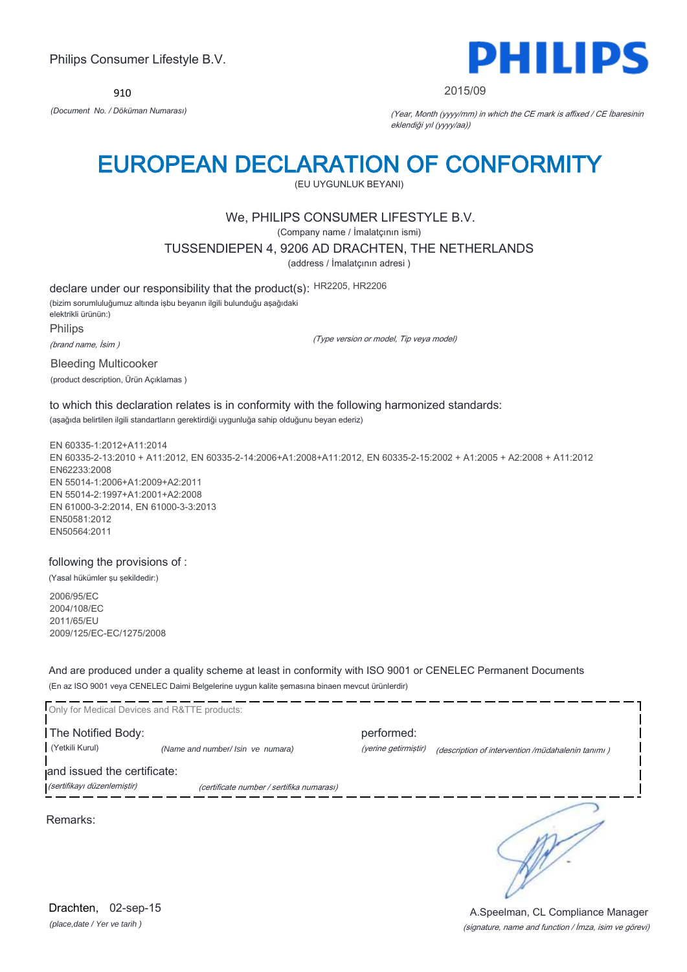910



### 2015/09

*(Document No. / Döküman Numarası)* (Year, Month (yyyy/mm) in which the CE mark is affixed / CE İbaresinin eklendiği yıl (yyyy/aa))

# EUROPEAN DECLARATION OF CONFORMITY

(EU UYGUNLUK BEYANI)

## We, PHILIPS CONSUMER LIFESTYLE B.V.

(Company name / İmalatçının ismi)

TUSSENDIEPEN 4, 9206 AD DRACHTEN, THE NETHERLANDS

(address / İmalatçının adresi )

declare under our responsibility that the product(s): HR2205, HR2206 (bizim sorumluluğumuz altında işbu beyanın ilgili bulunduğu aşağıdaki elektrikli ürünün:) Philips

(brand name, İsim )

(Type version or model, Tip veya model)

Bleeding Multicooker

(product description, Ürün Açıklamas )

to which this declaration relates is in conformity with the following harmonized standards: (aşağıda belirtilen ilgili standartların gerektirdiği uygunluğa sahip olduğunu beyan ederiz)

EN 60335-1:2012+A11:2014 EN 60335-2-13:2010 + A11:2012, EN 60335-2-14:2006+A1:2008+A11:2012, EN 60335-2-15:2002 + A1:2005 + A2:2008 + A11:2012 EN62233:2008 EN 55014-1:2006+A1:2009+A2:2011 EN 55014-2:1997+A1:2001+A2:2008 EN 61000-3-2:2014, EN 61000-3-3:2013 EN50581:2012 EN50564:2011

following the provisions of :

(Yasal hükümler şu şekildedir:)

2006/95/EC 2004/108/EC 2011/65/EU 2009/125/EC-EC/1275/2008

And are produced under a quality scheme at least in conformity with ISO 9001 or CENELEC Permanent Documents (En az ISO 9001 veya CENELEC Daimi Belgelerine uygun kalite şemasına binaen mevcut ürünlerdir)

| Only for Medical Devices and R&TTE products: |                                           |                      |                                                   |  |
|----------------------------------------------|-------------------------------------------|----------------------|---------------------------------------------------|--|
| The Notified Body:                           |                                           | performed:           |                                                   |  |
| (Yetkili Kurul)                              | (Name and number/ Isin ve numara)         | (yerine getirmiştir) | (description of intervention /müdahalenin tanımı) |  |
| and issued the certificate:                  |                                           |                      |                                                   |  |
| (sertifikayı düzenlemiştir)                  | (certificate number / sertifika numarası) |                      |                                                   |  |
| Remarks:                                     |                                           |                      |                                                   |  |

*(place,date / Yer ve tarih )* Drachten, 02-sep-15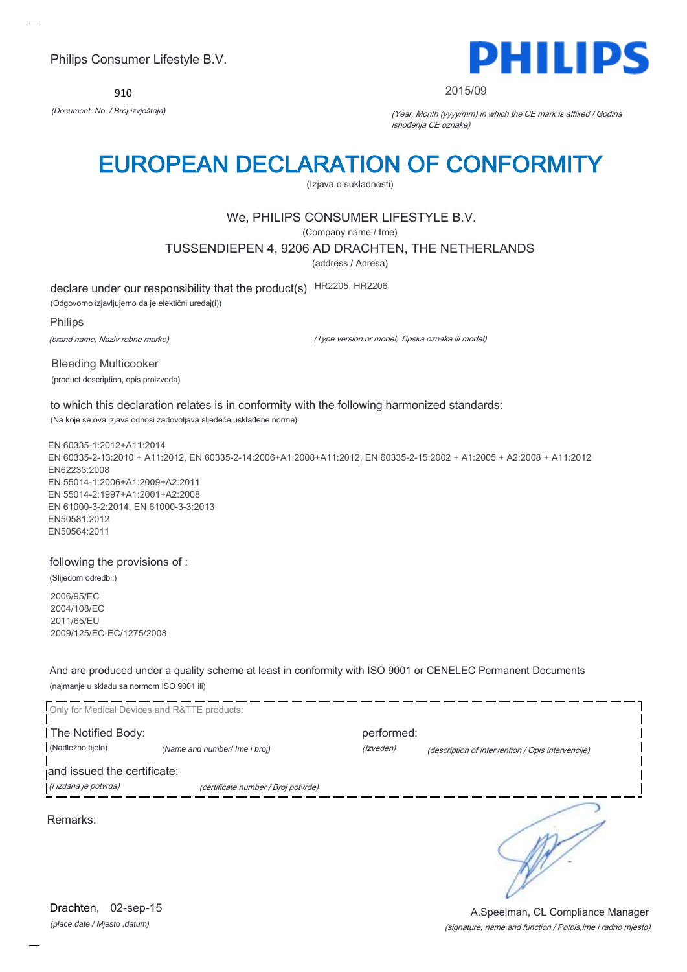910



### 2015/09

*(Document No. / Broj izvještaja)* (Year, Month (yyyy/mm) in which the CE mark is affixed / Godina ishođenja CE oznake)

# EUROPEAN DECLARATION OF CONFORMITY

(Izjava o sukladnosti)

## We, PHILIPS CONSUMER LIFESTYLE B.V.

(Company name / Ime)

TUSSENDIEPEN 4, 9206 AD DRACHTEN, THE NETHERLANDS

(address / Adresa)

declare under our responsibility that the product(s) HR2205, HR2206

(Odgovorno izjavljujemo da je elektični uređaj(i))

Philips

(brand name, Naziv robne marke)

(Type version or model, Tipska oznaka ili model)

Bleeding Multicooker (product description, opis proizvoda)

to which this declaration relates is in conformity with the following harmonized standards: (Na koje se ova izjava odnosi zadovoljava sljedeće usklađene norme)

EN 60335-1:2012+A11:2014 EN 60335-2-13:2010 + A11:2012, EN 60335-2-14:2006+A1:2008+A11:2012, EN 60335-2-15:2002 + A1:2005 + A2:2008 + A11:2012 EN62233:2008 EN 55014-1:2006+A1:2009+A2:2011 EN 55014-2:1997+A1:2001+A2:2008 EN 61000-3-2:2014, EN 61000-3-3:2013 EN50581:2012 EN50564:2011

following the provisions of :

(Slijedom odredbi:)

2006/95/EC 2004/108/EC 2011/65/EU 2009/125/EC-EC/1275/2008

And are produced under a quality scheme at least in conformity with ISO 9001 or CENELEC Permanent Documents (najmanje u skladu sa normom ISO 9001 ili)

Only for Medical Devices and R&TTE products: **The Notified Body: performed:** performed: (Nadležno tijelo) *(Name and number/ Ime i broj) (Izveden) (Izveden) (description of intervention / Opis intervencije*) and issued the certificate: (I izdana je potvrda) (certificate number / Broj potvrde) ∍ Remarks:

*(place,date / Mjesto ,datum)* Drachten, 02-sep-15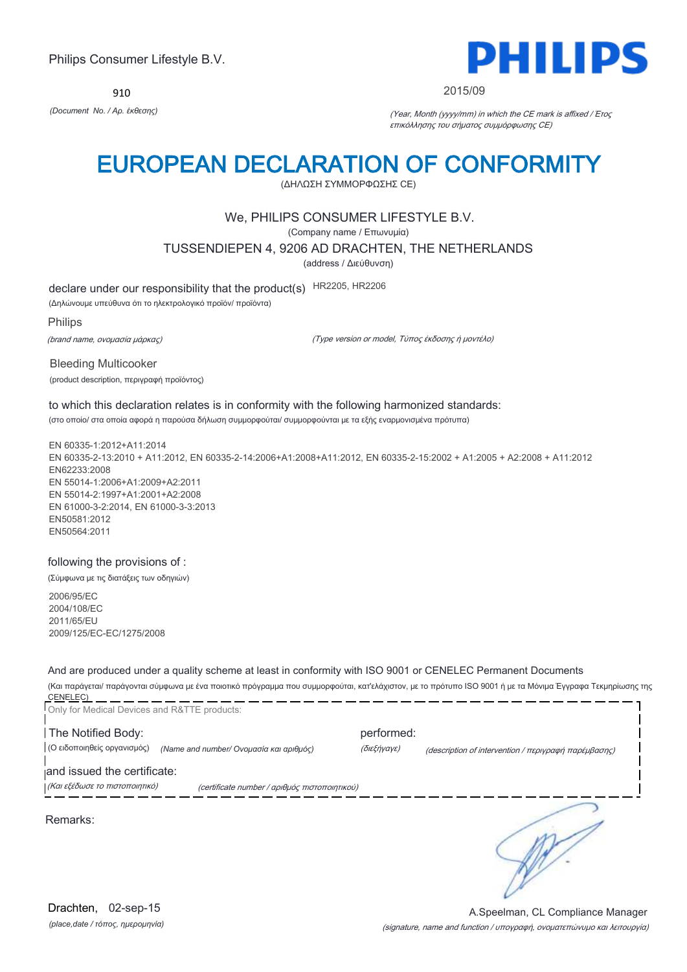910



### 2015/09

*(Document No. / Αρ. έκθεσης)* (Year, Month (yyyy/mm) in which the CE mark is affixed / Έτος επικόλλησης του σήματος συμμόρφωσης CE)

# EUROPEAN DECLARATION OF CONFORMITY

(ΔΗΛΩΣΗ ΣΥΜΜΟΡΦΩΣΗΣ CE)

## We, PHILIPS CONSUMER LIFESTYLE B.V.

(Company name / Επωνυμία)

TUSSENDIEPEN 4, 9206 AD DRACHTEN, THE NETHERLANDS

(address / Διεύθυνση)

declare under our responsibility that the product(s) HR2205, HR2206

(Δηλώνουμε υπεύθυνα ότι το ηλεκτρολογικό προϊόν/ προϊόντα)

Philips

(brand name, ονομασία μάρκας)

(Type version or model, Τύπος έκδοσης ή μοντέλο)

Bleeding Multicooker (product description, περιγραφή προϊόντος)

to which this declaration relates is in conformity with the following harmonized standards: (στο οποίο/ στα οποία αφορά η παρούσα δήλωση συμμορφούται/ συμμορφούνται με τα εξής εναρμονισμένα πρότυπα)

EN 60335-1:2012+A11:2014 EN 60335-2-13:2010 + A11:2012, EN 60335-2-14:2006+A1:2008+A11:2012, EN 60335-2-15:2002 + A1:2005 + A2:2008 + A11:2012 EN62233:2008 EN 55014-1:2006+A1:2009+A2:2011 EN 55014-2:1997+A1:2001+A2:2008 EN 61000-3-2:2014, EN 61000-3-3:2013 EN50581:2012 EN50564:2011

### following the provisions of :

(Σύμφωνα με τις διατάξεις των οδηγιών)

2006/95/EC 2004/108/EC 2011/65/EU 2009/125/EC-EC/1275/2008

And are produced under a quality scheme at least in conformity with ISO 9001 or CENELEC Permanent Documents (Και παράγεται/ παράγονται σύμφωνα με ένα ποιοτικό πρόγραμμα που συμμορφούται, κατ'ελάχιστον, με το πρότυπο ISO 9001 ή με τα Μόνιμα Έγγραφα Τεκμηρίωσης της

| and issued the certificate:<br>(Και εξέδωσε το πιστοποιητικό)          |                                                                     |
|------------------------------------------------------------------------|---------------------------------------------------------------------|
| (Ο ειδοποιηθείς οργανισμός)<br>(Name and number/ Ονομασία και αριθμός) | (διεξήγαγε)<br>(description of intervention / περιγραφή παρέμβασης) |
| The Notified Body:                                                     | performed:                                                          |

*(place,date / τόπος, ημερομηνία)* Drachten, 02-sep-15

(signature, name and function / υπογραφή, ονοματεπώνυμο και λειτουργία) A.Speelman, CL Compliance Manager